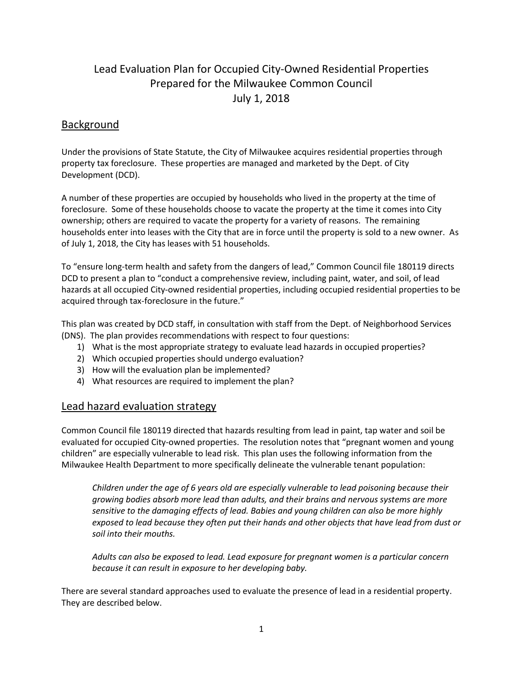# Lead Evaluation Plan for Occupied City-Owned Residential Properties Prepared for the Milwaukee Common Council July 1, 2018

### Background

Under the provisions of State Statute, the City of Milwaukee acquires residential properties through property tax foreclosure. These properties are managed and marketed by the Dept. of City Development (DCD).

A number of these properties are occupied by households who lived in the property at the time of foreclosure. Some of these households choose to vacate the property at the time it comes into City ownership; others are required to vacate the property for a variety of reasons. The remaining households enter into leases with the City that are in force until the property is sold to a new owner. As of July 1, 2018, the City has leases with 51 households.

To "ensure long-term health and safety from the dangers of lead," Common Council file 180119 directs DCD to present a plan to "conduct a comprehensive review, including paint, water, and soil, of lead hazards at all occupied City-owned residential properties, including occupied residential properties to be acquired through tax-foreclosure in the future."

This plan was created by DCD staff, in consultation with staff from the Dept. of Neighborhood Services (DNS). The plan provides recommendations with respect to four questions:

- 1) What is the most appropriate strategy to evaluate lead hazards in occupied properties?
- 2) Which occupied properties should undergo evaluation?
- 3) How will the evaluation plan be implemented?
- 4) What resources are required to implement the plan?

### Lead hazard evaluation strategy

Common Council file 180119 directed that hazards resulting from lead in paint, tap water and soil be evaluated for occupied City-owned properties. The resolution notes that "pregnant women and young children" are especially vulnerable to lead risk. This plan uses the following information from the Milwaukee Health Department to more specifically delineate the vulnerable tenant population:

*Children under the age of 6 years old are especially vulnerable to lead poisoning because their growing bodies absorb more lead than adults, and their brains and nervous systems are more sensitive to the damaging effects of lead. Babies and young children can also be more highly exposed to lead because they often put their hands and other objects that have lead from dust or soil into their mouths.*

*Adults can also be exposed to lead. Lead exposure for pregnant women is a particular concern because it can result in exposure to her developing baby.*

There are several standard approaches used to evaluate the presence of lead in a residential property. They are described below.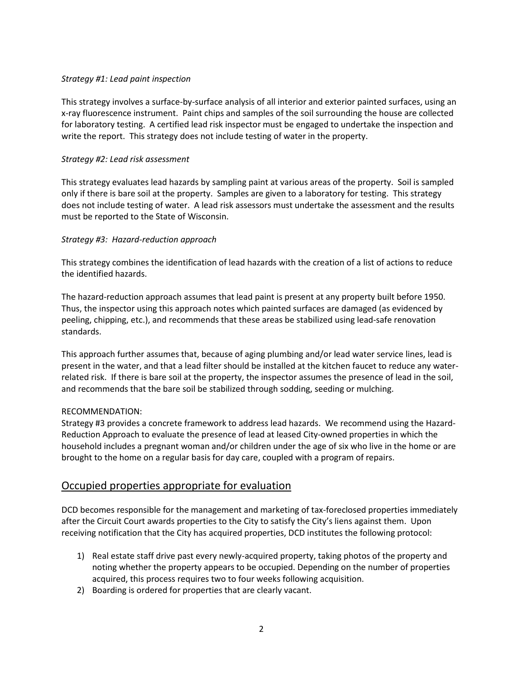#### *Strategy #1: Lead paint inspection*

This strategy involves a surface-by-surface analysis of all interior and exterior painted surfaces, using an x-ray fluorescence instrument. Paint chips and samples of the soil surrounding the house are collected for laboratory testing. A certified lead risk inspector must be engaged to undertake the inspection and write the report. This strategy does not include testing of water in the property.

#### *Strategy #2: Lead risk assessment*

This strategy evaluates lead hazards by sampling paint at various areas of the property. Soil is sampled only if there is bare soil at the property. Samples are given to a laboratory for testing. This strategy does not include testing of water. A lead risk assessors must undertake the assessment and the results must be reported to the State of Wisconsin.

#### *Strategy #3: Hazard-reduction approach*

This strategy combines the identification of lead hazards with the creation of a list of actions to reduce the identified hazards.

The hazard-reduction approach assumes that lead paint is present at any property built before 1950. Thus, the inspector using this approach notes which painted surfaces are damaged (as evidenced by peeling, chipping, etc.), and recommends that these areas be stabilized using lead-safe renovation standards.

This approach further assumes that, because of aging plumbing and/or lead water service lines, lead is present in the water, and that a lead filter should be installed at the kitchen faucet to reduce any waterrelated risk. If there is bare soil at the property, the inspector assumes the presence of lead in the soil, and recommends that the bare soil be stabilized through sodding, seeding or mulching.

#### RECOMMENDATION:

Strategy #3 provides a concrete framework to address lead hazards. We recommend using the Hazard-Reduction Approach to evaluate the presence of lead at leased City-owned properties in which the household includes a pregnant woman and/or children under the age of six who live in the home or are brought to the home on a regular basis for day care, coupled with a program of repairs.

### Occupied properties appropriate for evaluation

DCD becomes responsible for the management and marketing of tax-foreclosed properties immediately after the Circuit Court awards properties to the City to satisfy the City's liens against them. Upon receiving notification that the City has acquired properties, DCD institutes the following protocol:

- 1) Real estate staff drive past every newly-acquired property, taking photos of the property and noting whether the property appears to be occupied. Depending on the number of properties acquired, this process requires two to four weeks following acquisition.
- 2) Boarding is ordered for properties that are clearly vacant.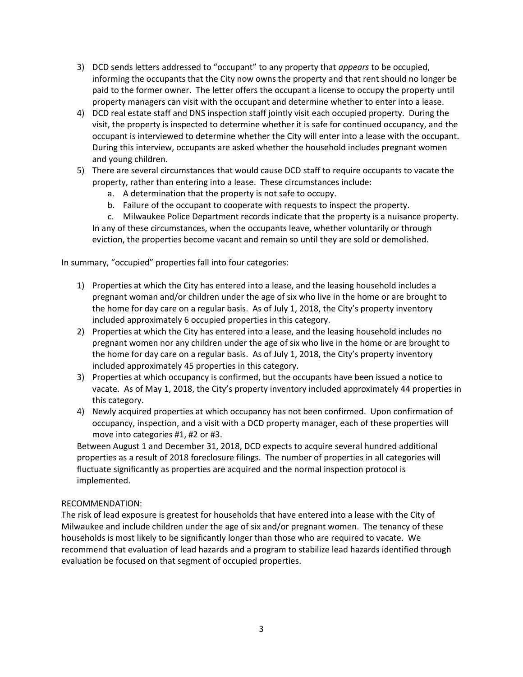- 3) DCD sends letters addressed to "occupant" to any property that *appears* to be occupied, informing the occupants that the City now owns the property and that rent should no longer be paid to the former owner. The letter offers the occupant a license to occupy the property until property managers can visit with the occupant and determine whether to enter into a lease.
- 4) DCD real estate staff and DNS inspection staff jointly visit each occupied property. During the visit, the property is inspected to determine whether it is safe for continued occupancy, and the occupant is interviewed to determine whether the City will enter into a lease with the occupant. During this interview, occupants are asked whether the household includes pregnant women and young children.
- 5) There are several circumstances that would cause DCD staff to require occupants to vacate the property, rather than entering into a lease. These circumstances include:
	- a. A determination that the property is not safe to occupy.
	- b. Failure of the occupant to cooperate with requests to inspect the property.

c. Milwaukee Police Department records indicate that the property is a nuisance property. In any of these circumstances, when the occupants leave, whether voluntarily or through eviction, the properties become vacant and remain so until they are sold or demolished.

In summary, "occupied" properties fall into four categories:

- 1) Properties at which the City has entered into a lease, and the leasing household includes a pregnant woman and/or children under the age of six who live in the home or are brought to the home for day care on a regular basis. As of July 1, 2018, the City's property inventory included approximately 6 occupied properties in this category.
- 2) Properties at which the City has entered into a lease, and the leasing household includes no pregnant women nor any children under the age of six who live in the home or are brought to the home for day care on a regular basis. As of July 1, 2018, the City's property inventory included approximately 45 properties in this category.
- 3) Properties at which occupancy is confirmed, but the occupants have been issued a notice to vacate. As of May 1, 2018, the City's property inventory included approximately 44 properties in this category.
- 4) Newly acquired properties at which occupancy has not been confirmed. Upon confirmation of occupancy, inspection, and a visit with a DCD property manager, each of these properties will move into categories #1, #2 or #3.

Between August 1 and December 31, 2018, DCD expects to acquire several hundred additional properties as a result of 2018 foreclosure filings. The number of properties in all categories will fluctuate significantly as properties are acquired and the normal inspection protocol is implemented.

#### RECOMMENDATION:

The risk of lead exposure is greatest for households that have entered into a lease with the City of Milwaukee and include children under the age of six and/or pregnant women. The tenancy of these households is most likely to be significantly longer than those who are required to vacate. We recommend that evaluation of lead hazards and a program to stabilize lead hazards identified through evaluation be focused on that segment of occupied properties.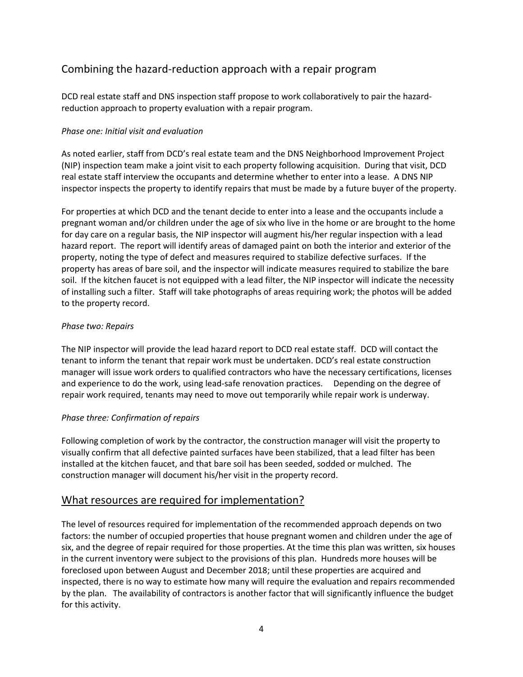## Combining the hazard-reduction approach with a repair program

DCD real estate staff and DNS inspection staff propose to work collaboratively to pair the hazardreduction approach to property evaluation with a repair program.

#### *Phase one: Initial visit and evaluation*

As noted earlier, staff from DCD's real estate team and the DNS Neighborhood Improvement Project (NIP) inspection team make a joint visit to each property following acquisition. During that visit, DCD real estate staff interview the occupants and determine whether to enter into a lease. A DNS NIP inspector inspects the property to identify repairs that must be made by a future buyer of the property.

For properties at which DCD and the tenant decide to enter into a lease and the occupants include a pregnant woman and/or children under the age of six who live in the home or are brought to the home for day care on a regular basis, the NIP inspector will augment his/her regular inspection with a lead hazard report. The report will identify areas of damaged paint on both the interior and exterior of the property, noting the type of defect and measures required to stabilize defective surfaces. If the property has areas of bare soil, and the inspector will indicate measures required to stabilize the bare soil. If the kitchen faucet is not equipped with a lead filter, the NIP inspector will indicate the necessity of installing such a filter. Staff will take photographs of areas requiring work; the photos will be added to the property record.

#### *Phase two: Repairs*

The NIP inspector will provide the lead hazard report to DCD real estate staff. DCD will contact the tenant to inform the tenant that repair work must be undertaken. DCD's real estate construction manager will issue work orders to qualified contractors who have the necessary certifications, licenses and experience to do the work, using lead-safe renovation practices. Depending on the degree of repair work required, tenants may need to move out temporarily while repair work is underway.

#### *Phase three: Confirmation of repairs*

Following completion of work by the contractor, the construction manager will visit the property to visually confirm that all defective painted surfaces have been stabilized, that a lead filter has been installed at the kitchen faucet, and that bare soil has been seeded, sodded or mulched. The construction manager will document his/her visit in the property record.

### What resources are required for implementation?

The level of resources required for implementation of the recommended approach depends on two factors: the number of occupied properties that house pregnant women and children under the age of six, and the degree of repair required for those properties. At the time this plan was written, six houses in the current inventory were subject to the provisions of this plan. Hundreds more houses will be foreclosed upon between August and December 2018; until these properties are acquired and inspected, there is no way to estimate how many will require the evaluation and repairs recommended by the plan. The availability of contractors is another factor that will significantly influence the budget for this activity.